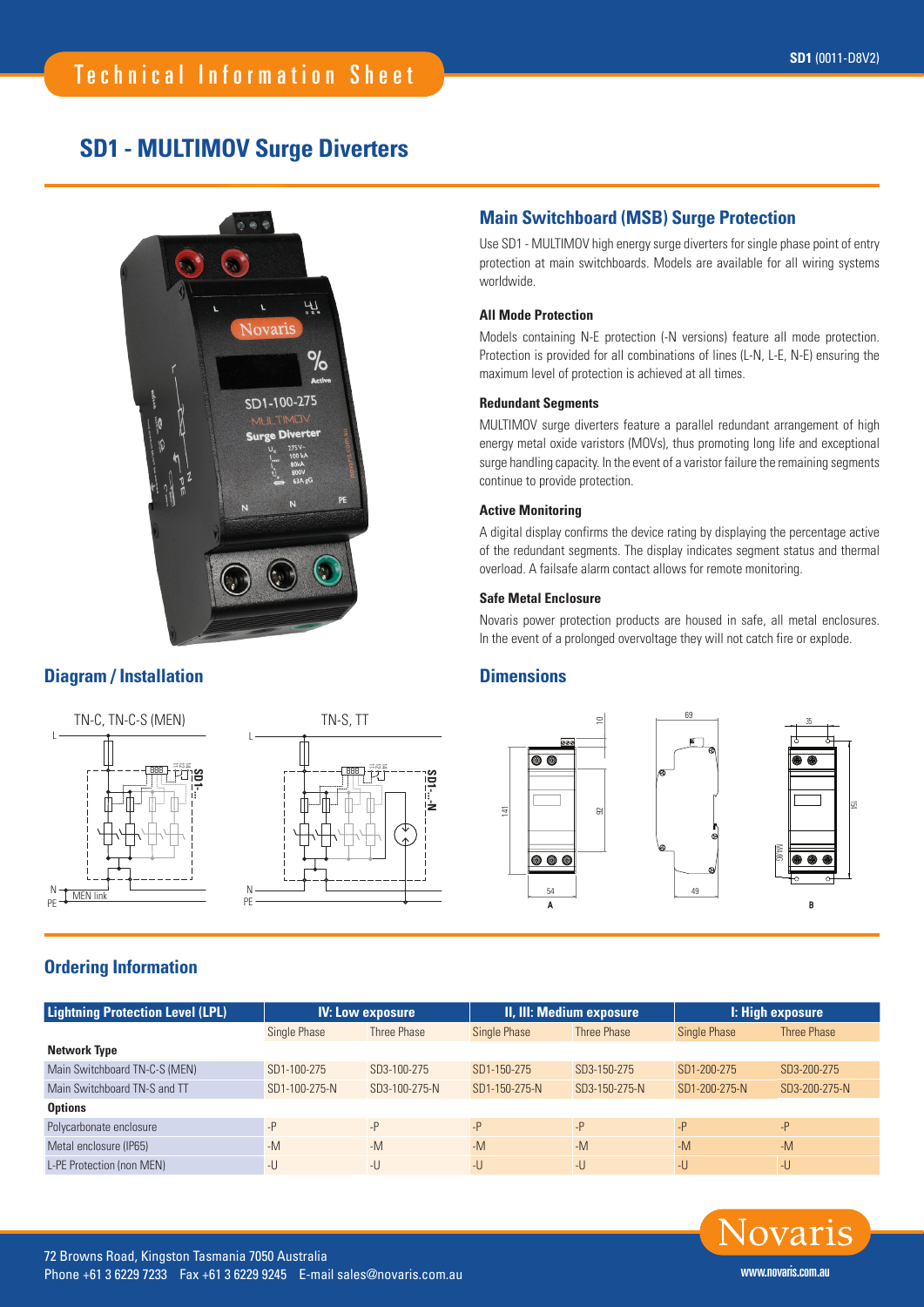# **SD1 - MULTIMOV Surge Diverters**



## **Diagram / Installation Dimensions**

TN-C, TN-C-S (MEN)

**SD1-...**

12<br>12 14



## **Main Switchboard (MSB) Surge Protection**

Use SD1 - MULTIMOV high energy surge diverters for single phase point of entry protection at main switchboards. Models are available for all wiring systems worldwide.

#### **All Mode Protection**

Models containing N-E protection (-N versions) feature all mode protection. Protection is provided for all combinations of lines (L-N, L-E, N-E) ensuring the maximum level of protection is achieved at all times.

#### **Redundant Segments**

MULTIMOV surge diverters feature a parallel redundant arrangement of high energy metal oxide varistors (MOVs), thus promoting long life and exceptional surge handling capacity. In the event of a varistor failure the remaining segments continue to provide protection.

#### **Active Monitoring**

A digital display confirms the device rating by displaying the percentage active of the redundant segments. The display indicates segment status and thermal overload. A failsafe alarm contact allows for remote monitoring.

### **Safe Metal Enclosure**

Novaris power protection products are housed in safe, all metal enclosures. In the event of a prolonged overvoltage they will not catch fire or explode.



## **Ordering Information**

N PE

MEN lin

L

| <b>Lightning Protection Level (LPL)</b> | IV: Low exposure |               | II, III: Medium exposure |               | I: High exposure |                    |
|-----------------------------------------|------------------|---------------|--------------------------|---------------|------------------|--------------------|
|                                         | Single Phase     | Three Phase   | Single Phase             | Three Phase   | Single Phase     | <b>Three Phase</b> |
| <b>Network Type</b>                     |                  |               |                          |               |                  |                    |
| Main Switchboard TN-C-S (MEN)           | SD1-100-275      | SD3-100-275   | SD1-150-275              | SD3-150-275   | SD1-200-275      | SD3-200-275        |
| Main Switchboard TN-S and TT            | SD1-100-275-N    | SD3-100-275-N | SD1-150-275-N            | SD3-150-275-N | SD1-200-275-N    | SD3-200-275-N      |
| <b>Options</b>                          |                  |               |                          |               |                  |                    |
| Polycarbonate enclosure                 | $-P$             | $-P$          | $-P$                     | $-P$          | $-P$             | $-P$               |
| Metal enclosure (IP65)                  | $-M$             | $-M$          | $-M$                     | $-M$          | $-M$             | $-M$               |
| L-PE Protection (non MEN)               | -U               | $-U$          | $-U$                     | $-U$          | $-U$             | $-U$               |